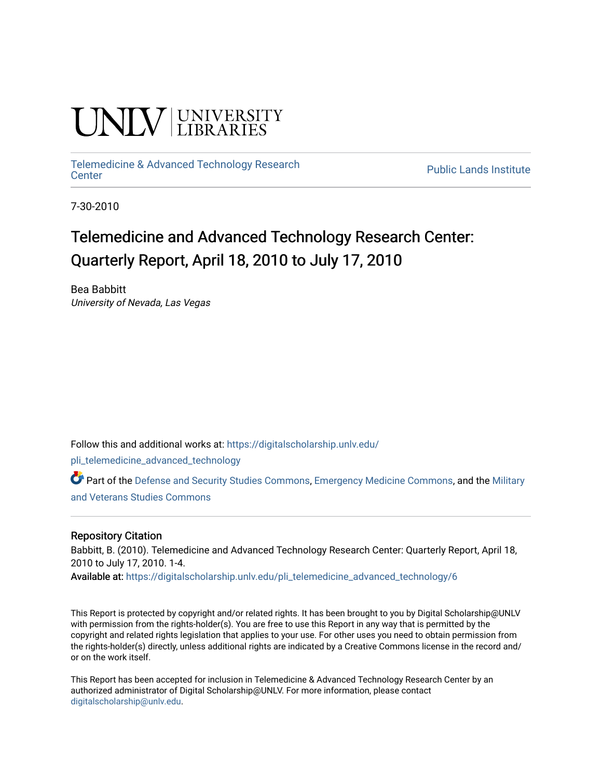# **INIVERSITY**

## [Telemedicine & Advanced Technology Research](https://digitalscholarship.unlv.edu/pli_telemedicine_advanced_technology)

**Public Lands Institute** 

7-30-2010

### Telemedicine and Advanced Technology Research Center: Quarterly Report, April 18, 2010 to July 17, 2010

Bea Babbitt University of Nevada, Las Vegas

Follow this and additional works at: [https://digitalscholarship.unlv.edu/](https://digitalscholarship.unlv.edu/pli_telemedicine_advanced_technology?utm_source=digitalscholarship.unlv.edu%2Fpli_telemedicine_advanced_technology%2F6&utm_medium=PDF&utm_campaign=PDFCoverPages)

[pli\\_telemedicine\\_advanced\\_technology](https://digitalscholarship.unlv.edu/pli_telemedicine_advanced_technology?utm_source=digitalscholarship.unlv.edu%2Fpli_telemedicine_advanced_technology%2F6&utm_medium=PDF&utm_campaign=PDFCoverPages) 

Part of the [Defense and Security Studies Commons](http://network.bepress.com/hgg/discipline/394?utm_source=digitalscholarship.unlv.edu%2Fpli_telemedicine_advanced_technology%2F6&utm_medium=PDF&utm_campaign=PDFCoverPages), [Emergency Medicine Commons,](http://network.bepress.com/hgg/discipline/685?utm_source=digitalscholarship.unlv.edu%2Fpli_telemedicine_advanced_technology%2F6&utm_medium=PDF&utm_campaign=PDFCoverPages) and the [Military](http://network.bepress.com/hgg/discipline/396?utm_source=digitalscholarship.unlv.edu%2Fpli_telemedicine_advanced_technology%2F6&utm_medium=PDF&utm_campaign=PDFCoverPages)  [and Veterans Studies Commons](http://network.bepress.com/hgg/discipline/396?utm_source=digitalscholarship.unlv.edu%2Fpli_telemedicine_advanced_technology%2F6&utm_medium=PDF&utm_campaign=PDFCoverPages) 

#### Repository Citation

Babbitt, B. (2010). Telemedicine and Advanced Technology Research Center: Quarterly Report, April 18, 2010 to July 17, 2010. 1-4.

Available at: [https://digitalscholarship.unlv.edu/pli\\_telemedicine\\_advanced\\_technology/6](https://digitalscholarship.unlv.edu/pli_telemedicine_advanced_technology/6) 

This Report is protected by copyright and/or related rights. It has been brought to you by Digital Scholarship@UNLV with permission from the rights-holder(s). You are free to use this Report in any way that is permitted by the copyright and related rights legislation that applies to your use. For other uses you need to obtain permission from the rights-holder(s) directly, unless additional rights are indicated by a Creative Commons license in the record and/ or on the work itself.

This Report has been accepted for inclusion in Telemedicine & Advanced Technology Research Center by an authorized administrator of Digital Scholarship@UNLV. For more information, please contact [digitalscholarship@unlv.edu](mailto:digitalscholarship@unlv.edu).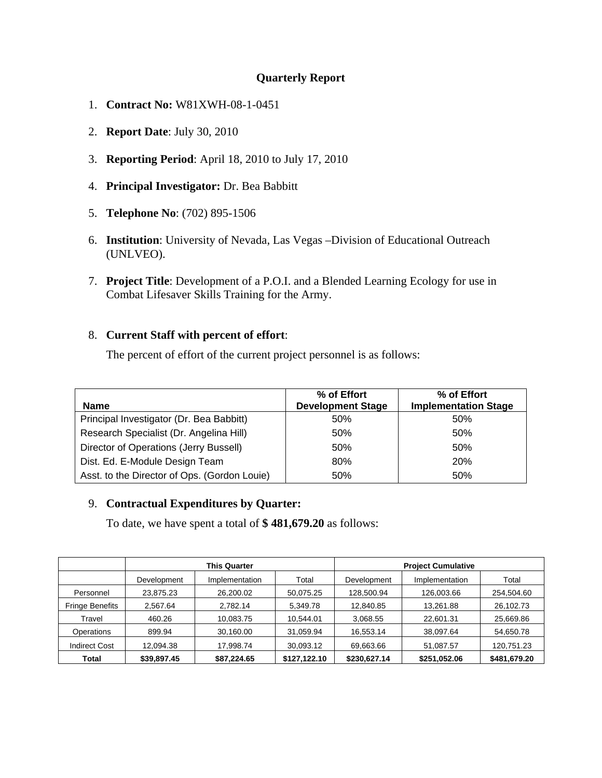#### **Quarterly Report**

- 1. **Contract No:** W81XWH-08-1-0451
- 2. **Report Date**: July 30, 2010
- 3. **Reporting Period**: April 18, 2010 to July 17, 2010
- 4. **Principal Investigator:** Dr. Bea Babbitt
- 5. **Telephone No**: (702) 895-1506
- 6. **Institution**: University of Nevada, Las Vegas –Division of Educational Outreach (UNLVEO).
- 7. **Project Title**: Development of a P.O.I. and a Blended Learning Ecology for use in Combat Lifesaver Skills Training for the Army.

#### 8. **Current Staff with percent of effort**:

The percent of effort of the current project personnel is as follows:

| <b>Name</b>                                  | % of Effort<br><b>Development Stage</b> | % of Effort<br><b>Implementation Stage</b> |
|----------------------------------------------|-----------------------------------------|--------------------------------------------|
| Principal Investigator (Dr. Bea Babbitt)     | 50%                                     | 50%                                        |
| Research Specialist (Dr. Angelina Hill)      | 50%                                     | 50%                                        |
| Director of Operations (Jerry Bussell)       | 50%                                     | 50%                                        |
| Dist. Ed. E-Module Design Team               | 80%                                     | <b>20%</b>                                 |
| Asst. to the Director of Ops. (Gordon Louie) | 50%                                     | 50%                                        |

#### 9. **Contractual Expenditures by Quarter:**

To date, we have spent a total of **\$ 481,679.20** as follows:

|                        | <b>This Quarter</b> |                |              | <b>Project Cumulative</b> |                |              |
|------------------------|---------------------|----------------|--------------|---------------------------|----------------|--------------|
|                        | Development         | Implementation | Total        | Development               | Implementation | Total        |
| Personnel              | 23.875.23           | 26,200.02      | 50.075.25    | 128,500.94                | 126,003.66     | 254,504.60   |
| <b>Fringe Benefits</b> | 2,567.64            | 2,782.14       | 5,349.78     | 12,840.85                 | 13,261.88      | 26,102.73    |
| Travel                 | 460.26              | 10.083.75      | 10.544.01    | 3,068.55                  | 22,601.31      | 25,669.86    |
| Operations             | 899.94              | 30,160.00      | 31,059.94    | 16,553.14                 | 38,097.64      | 54,650.78    |
| <b>Indirect Cost</b>   | 12.094.38           | 17.998.74      | 30.093.12    | 69,663.66                 | 51,087.57      | 120,751.23   |
| <b>Total</b>           | \$39,897.45         | \$87,224.65    | \$127,122.10 | \$230,627.14              | \$251,052.06   | \$481,679.20 |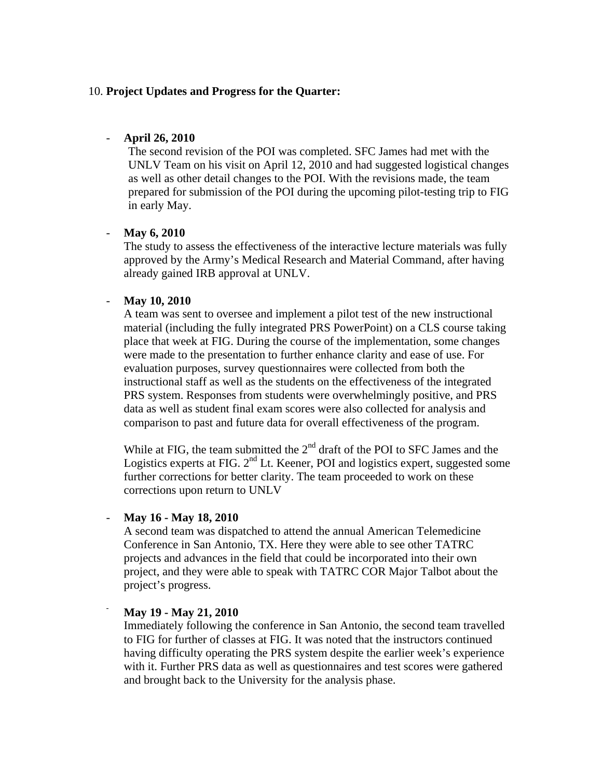#### 10. **Project Updates and Progress for the Quarter:**

#### - **April 26, 2010**

The second revision of the POI was completed. SFC James had met with the UNLV Team on his visit on April 12, 2010 and had suggested logistical changes as well as other detail changes to the POI. With the revisions made, the team prepared for submission of the POI during the upcoming pilot-testing trip to FIG in early May.

#### - **May 6, 2010**

The study to assess the effectiveness of the interactive lecture materials was fully approved by the Army's Medical Research and Material Command, after having already gained IRB approval at UNLV.

#### - **May 10, 2010**

A team was sent to oversee and implement a pilot test of the new instructional material (including the fully integrated PRS PowerPoint) on a CLS course taking place that week at FIG. During the course of the implementation, some changes were made to the presentation to further enhance clarity and ease of use. For evaluation purposes, survey questionnaires were collected from both the instructional staff as well as the students on the effectiveness of the integrated PRS system. Responses from students were overwhelmingly positive, and PRS data as well as student final exam scores were also collected for analysis and comparison to past and future data for overall effectiveness of the program.

While at FIG, the team submitted the  $2<sup>nd</sup>$  draft of the POI to SFC James and the Logistics experts at FIG.  $2<sup>nd</sup>$  Lt. Keener, POI and logistics expert, suggested some further corrections for better clarity. The team proceeded to work on these corrections upon return to UNLV

#### - **May 16 - May 18, 2010**

A second team was dispatched to attend the annual American Telemedicine Conference in San Antonio, TX. Here they were able to see other TATRC projects and advances in the field that could be incorporated into their own project, and they were able to speak with TATRC COR Major Talbot about the project's progress.

#### - **May 19 - May 21, 2010**

Immediately following the conference in San Antonio, the second team travelled to FIG for further of classes at FIG. It was noted that the instructors continued having difficulty operating the PRS system despite the earlier week's experience with it. Further PRS data as well as questionnaires and test scores were gathered and brought back to the University for the analysis phase.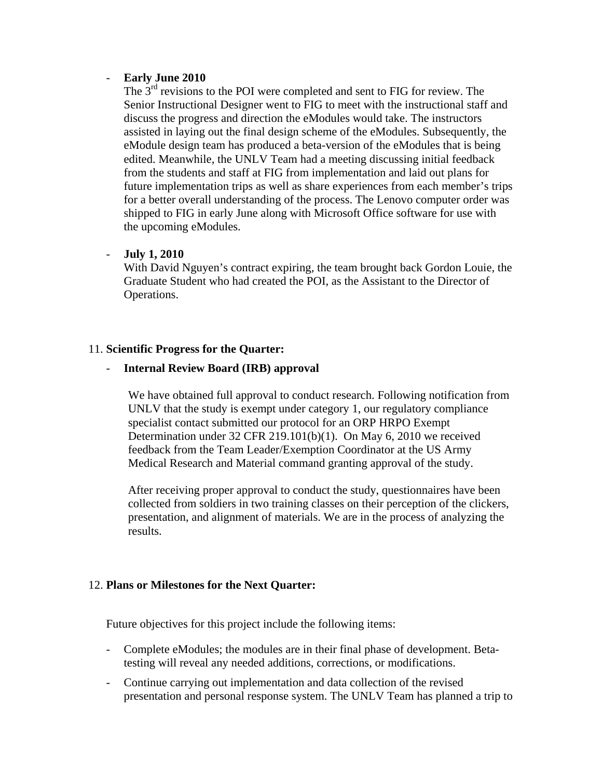#### - **Early June 2010**

The  $3<sup>rd</sup>$  revisions to the POI were completed and sent to FIG for review. The Senior Instructional Designer went to FIG to meet with the instructional staff and discuss the progress and direction the eModules would take. The instructors assisted in laying out the final design scheme of the eModules. Subsequently, the eModule design team has produced a beta-version of the eModules that is being edited. Meanwhile, the UNLV Team had a meeting discussing initial feedback from the students and staff at FIG from implementation and laid out plans for future implementation trips as well as share experiences from each member's trips for a better overall understanding of the process. The Lenovo computer order was shipped to FIG in early June along with Microsoft Office software for use with the upcoming eModules.

#### - **July 1, 2010**

With David Nguyen's contract expiring, the team brought back Gordon Louie, the Graduate Student who had created the POI, as the Assistant to the Director of Operations.

#### 11. **Scientific Progress for the Quarter:**

#### - **Internal Review Board (IRB) approval**

We have obtained full approval to conduct research. Following notification from UNLV that the study is exempt under category 1, our regulatory compliance specialist contact submitted our protocol for an ORP HRPO Exempt Determination under 32 CFR 219.101(b)(1). On May 6, 2010 we received feedback from the Team Leader/Exemption Coordinator at the US Army Medical Research and Material command granting approval of the study.

After receiving proper approval to conduct the study, questionnaires have been collected from soldiers in two training classes on their perception of the clickers, presentation, and alignment of materials. We are in the process of analyzing the results.

#### 12. **Plans or Milestones for the Next Quarter:**

Future objectives for this project include the following items:

- Complete eModules; the modules are in their final phase of development. Betatesting will reveal any needed additions, corrections, or modifications.
- Continue carrying out implementation and data collection of the revised presentation and personal response system. The UNLV Team has planned a trip to